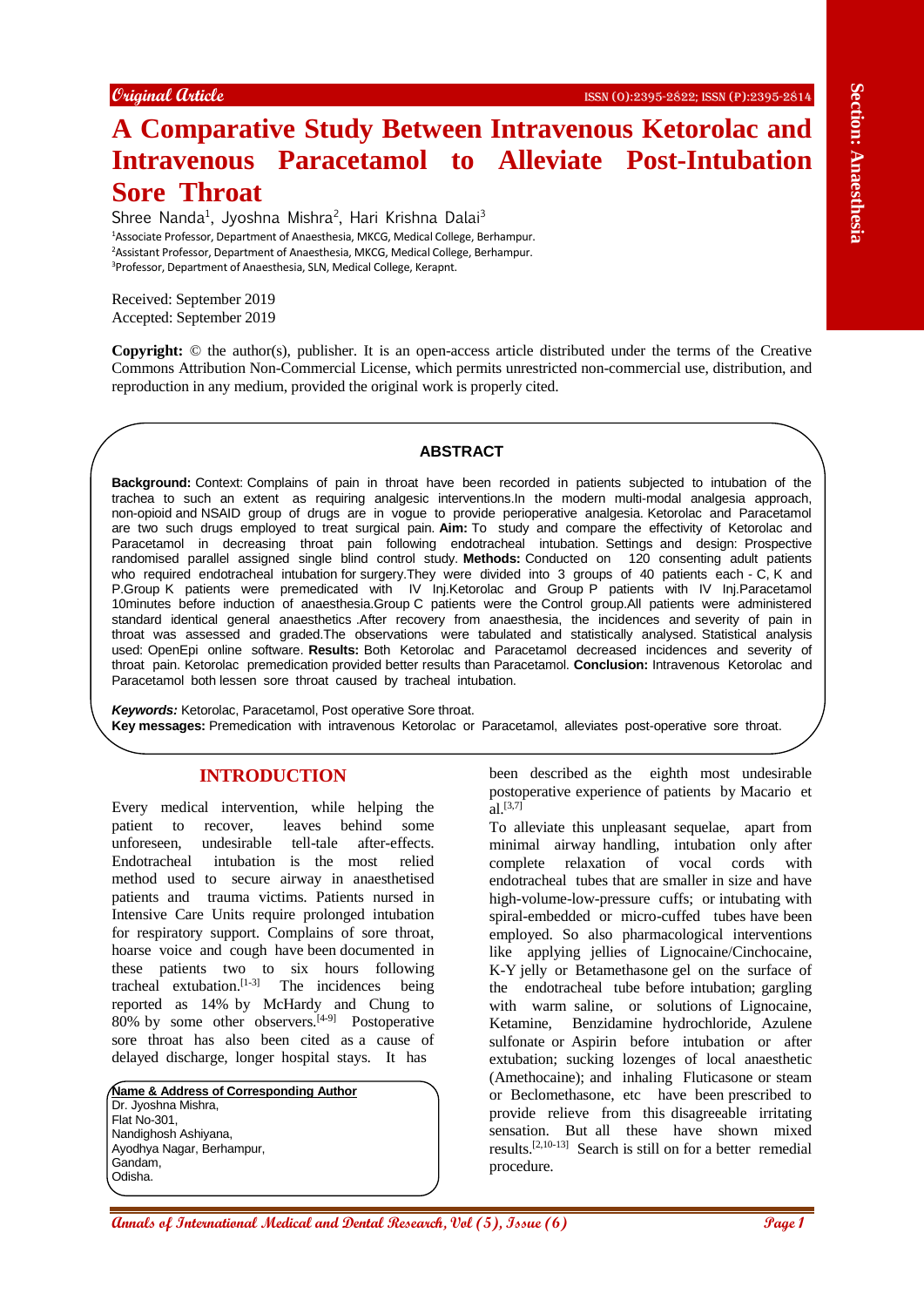# **A Comparative Study Between Intravenous Ketorolac and Intravenous Paracetamol to Alleviate Post-Intubation Sore Throat**

Shree Nanda<sup>1</sup>, Jyoshna Mishra<sup>2</sup>, Hari Krishna Dalai<sup>3</sup> Associate Professor, Department of Anaesthesia, MKCG, Medical College, Berhampur. Assistant Professor, Department of Anaesthesia, MKCG, Medical College, Berhampur. Professor, Department of Anaesthesia, SLN, Medical College, Kerapnt.

Received: September 2019 Accepted: September 2019

**Copyright:** © the author(s), publisher. It is an open-access article distributed under the terms of the Creative Commons Attribution Non-Commercial License, which permits unrestricted non-commercial use, distribution, and reproduction in any medium, provided the original work is properly cited.

## **ABSTRACT**

**A Comparison Control and Section 2011 Consumer Section 2012**<br> **A Comparison Property Consumer Study Between Intraversions Post-Intubation 2013**<br>
Since The Consumer Study Between Interactions and Section 2012<br>
Since The **Background:** Context: Complains of pain in throat have been recorded in patients subjected to intubation of the trachea to such an extent as requiring analgesic interventions.In the modern multi-modal analgesia approach, non-opioid and NSAID group of drugs are in vogue to provide perioperative analgesia. Ketorolac and Paracetamol are two such drugs employed to treat surgical pain. **Aim:** To study and compare the effectivity of Ketorolac and Paracetamol in decreasing throat pain following endotracheal intubation. Settings and design: Prospective randomised parallel assigned single blind control study. **Methods:** Conducted on 120 consenting adult patients who required endotracheal intubation for surgery.They were divided into 3 groups of 40 patients each - C, K and P.Group K patients were premedicated with IV Inj.Ketorolac and Group P patients with IV Inj.Paracetamol 10minutes before induction of anaesthesia.Group C patients were the Control group.All patients were administered standard identical general anaesthetics .After recovery from anaesthesia, the incidences and severity of pain in throat was assessed and graded.The observations were tabulated and statistically analysed. Statistical analysis used: OpenEpi online software. **Results:** Both Ketorolac and Paracetamol decreased incidences and severity of throat pain. Ketorolac premedication provided better results than Paracetamol. **Conclusion:** Intravenous Ketorolac and Paracetamol both lessen sore throat caused by tracheal intubation.

*Keywords:* Ketorolac, Paracetamol, Post operative Sore throat. **Key messages:** Premedication with intravenous Ketorolac or Paracetamol, alleviates post-operative sore throat.

## **INTRODUCTION**

Every medical intervention, while helping the patient to recover, leaves behind some unforeseen, undesirable tell-tale after-effects. Endotracheal intubation is the most relied method used to secure airway in anaesthetised patients and trauma victims. Patients nursed in Intensive Care Units require prolonged intubation for respiratory support. Complains of sore throat, hoarse voice and cough have been documented in these patients two to six hours following tracheal extubation.<sup>[1-3]</sup> The incidences being reported as 14% by McHardy and Chung to 80% by some other observers.[4-9] Postoperative sore throat has also been cited as a cause of delayed discharge, longer hospital stays. It has

**Name & Address of Corresponding Author** Dr. Jyoshna Mishra, Flat No-301, Nandighosh Ashiyana, Ayodhya Nagar, Berhampur, Gandam, Odisha.

been described as the eighth most undesirable postoperative experience of patients by Macario et  $a1.^{[3,7]}$ 

To alleviate this unpleasant sequelae, apart from minimal airway handling, intubation only after complete relaxation of vocal cords with endotracheal tubes that are smaller in size and have high-volume-low-pressure cuffs; or intubating with spiral-embedded or micro-cuffed tubes have been employed. So also pharmacological interventions like applying jellies of Lignocaine/Cinchocaine, K-Y jelly or Betamethasone gel on the surface of the endotracheal tube before intubation; gargling with warm saline, or solutions of Lignocaine, Ketamine, Benzidamine hydrochloride, Azulene sulfonate or Aspirin before intubation or after extubation; sucking lozenges of local anaesthetic (Amethocaine); and inhaling Fluticasone or steam or Beclomethasone, etc have been prescribed to provide relieve from this disagreeable irritating sensation. But all these have shown mixed results.[2,10-13] Search is still on for a better remedial procedure.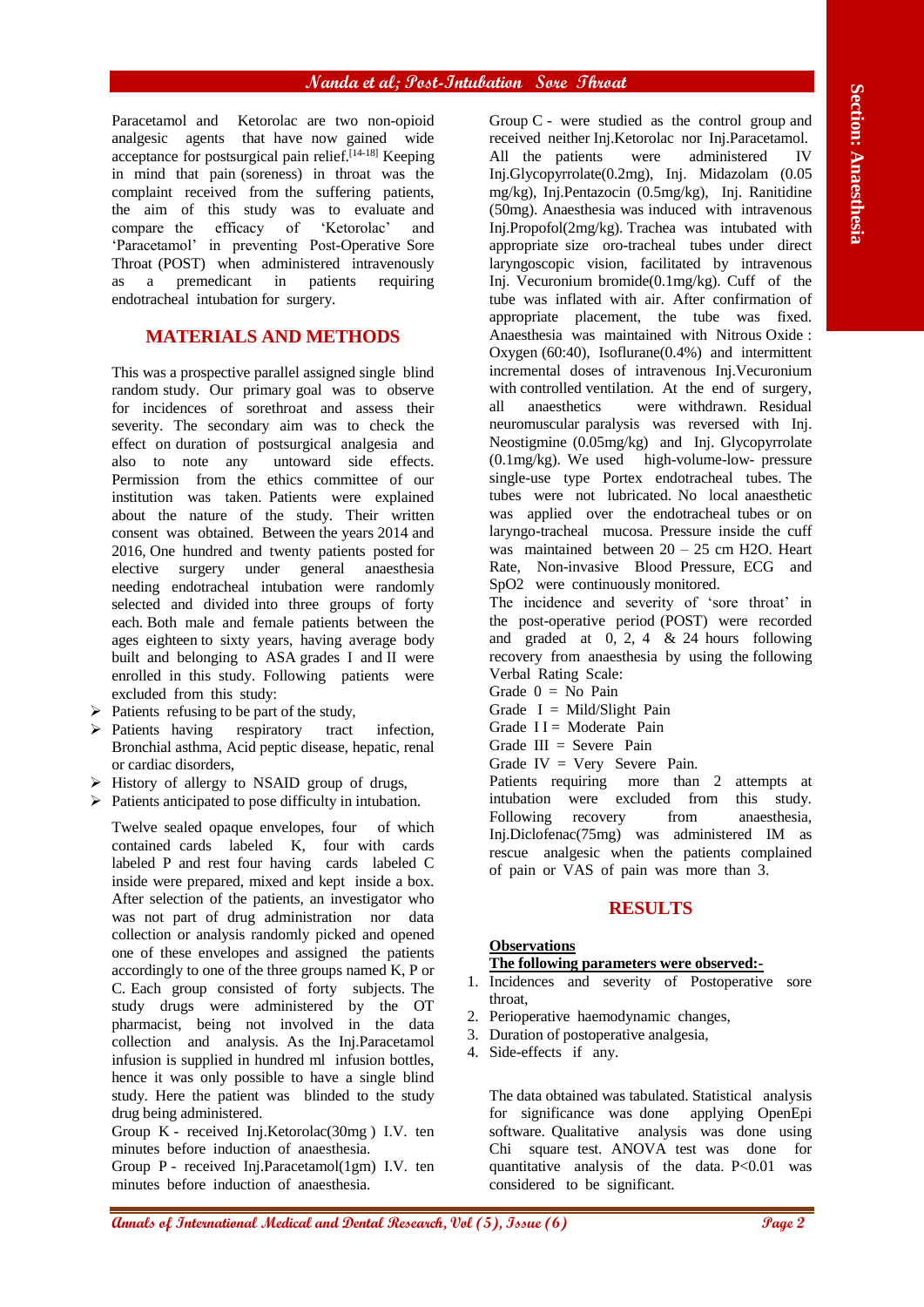Paracetamol and Ketorolac are two non-opioid analgesic agents that have now gained wide acceptance for postsurgical pain relief.<sup> $[14-18]$ </sup> Keeping in mind that pain (soreness) in throat was the complaint received from the suffering patients, the aim of this study was to evaluate and compare the efficacy of 'Ketorolac' and 'Paracetamol' in preventing Post-Operative Sore Throat (POST) when administered intravenously as a premedicant in patients requiring endotracheal intubation for surgery.

## **MATERIALS AND METHODS**

This was a prospective parallel assigned single blind random study. Our primary goal was to observe for incidences of sorethroat and assess their severity. The secondary aim was to check the effect on duration of postsurgical analgesia and also to note any untoward side effects. Permission from the ethics committee of our institution was taken. Patients were explained about the nature of the study. Their written consent was obtained. Between the years 2014 and 2016, One hundred and twenty patients posted for elective surgery under general anaesthesia needing endotracheal intubation were randomly selected and divided into three groups of forty each. Both male and female patients between the ages eighteen to sixty years, having average body built and belonging to ASA grades I and II were enrolled in this study. Following patients were excluded from this study:

- $\triangleright$  Patients refusing to be part of the study,
- Patients having respiratory tract infection, Bronchial asthma, Acid peptic disease, hepatic, renal or cardiac disorders,
- $\triangleright$  History of allergy to NSAID group of drugs,
- $\triangleright$  Patients anticipated to pose difficulty in intubation.

Twelve sealed opaque envelopes, four of which contained cards labeled K, four with cards labeled P and rest four having cards labeled C inside were prepared, mixed and kept inside a box. After selection of the patients, an investigator who was not part of drug administration nor data collection or analysis randomly picked and opened one of these envelopes and assigned the patients accordingly to one of the three groups named K, P or C. Each group consisted of forty subjects. The study drugs were administered by the OT pharmacist, being not involved in the data collection and analysis. As the Inj.Paracetamol infusion is supplied in hundred ml infusion bottles, hence it was only possible to have a single blind study. Here the patient was blinded to the study drug being administered.

Group K - received Inj.Ketorolac(30mg ) I.V. ten minutes before induction of anaesthesia.

Group P - received Inj.Paracetamol(1gm) I.V. ten minutes before induction of anaesthesia.

**Menotonol and Extendio and Dental and Dental and Dental Research, Countering the Constraints of International Annals (2), Issue (6)**  $\frac{1}{2}$  **and Dental Research (1), Issue (1), Issue (1), Issue (1), Issue (1), Issue (1)** Group C - were studied as the control group and received neither Inj.Ketorolac nor Inj.Paracetamol. All the patients were administered IV Inj.Glycopyrrolate(0.2mg), Inj. Midazolam (0.05 mg/kg), Inj.Pentazocin (0.5mg/kg), Inj. Ranitidine (50mg). Anaesthesia was induced with intravenous Inj.Propofol(2mg/kg). Trachea was intubated with appropriate size oro-tracheal tubes under direct laryngoscopic vision, facilitated by intravenous Inj. Vecuronium bromide(0.1mg/kg). Cuff of the tube was inflated with air. After confirmation of appropriate placement, the tube was fixed. Anaesthesia was maintained with Nitrous Oxide : Oxygen (60:40), Isoflurane(0.4%) and intermittent incremental doses of intravenous Inj.Vecuronium with controlled ventilation. At the end of surgery, all anaesthetics were withdrawn. Residual neuromuscular paralysis was reversed with Inj. Neostigmine (0.05mg/kg) and Inj. Glycopyrrolate (0.1mg/kg). We used high-volume-low- pressure single-use type Portex endotracheal tubes. The tubes were not lubricated. No local anaesthetic was applied over the endotracheal tubes or on laryngo-tracheal mucosa. Pressure inside the cuff was maintained between  $20 - 25$  cm H2O. Heart Rate, Non-invasive Blood Pressure, ECG and SpO2 were continuously monitored.

The incidence and severity of 'sore throat' in the post-operative period (POST) were recorded and graded at  $0, 2, 4 \& 24$  hours following recovery from anaesthesia by using the following Verbal Rating Scale:

- Grade  $0 = No$  Pain
- Grade  $I = Mid/Shift$  Pain
- Grade  $II =$  Moderate Pain
- Grade  $III =$  Severe Pain
- Grade IV = Very Severe Pain.

Patients requiring more than 2 attempts at intubation were excluded from this study. Following recovery from anaesthesia, Inj.Diclofenac(75mg) was administered IM as rescue analgesic when the patients complained of pain or VAS of pain was more than 3.

## **RESULTS**

## **Observations**

## **The following parameters were observed:-**

- 1. Incidences and severity of Postoperative sore throat
- 2. Perioperative haemodynamic changes,
- 3. Duration of postoperative analgesia,
- 4. Side-effects if any.

The data obtained was tabulated. Statistical analysis for significance was done applying OpenEpi software. Qualitative analysis was done using Chi square test. ANOVA test was done for quantitative analysis of the data. P<0.01 was considered to be significant.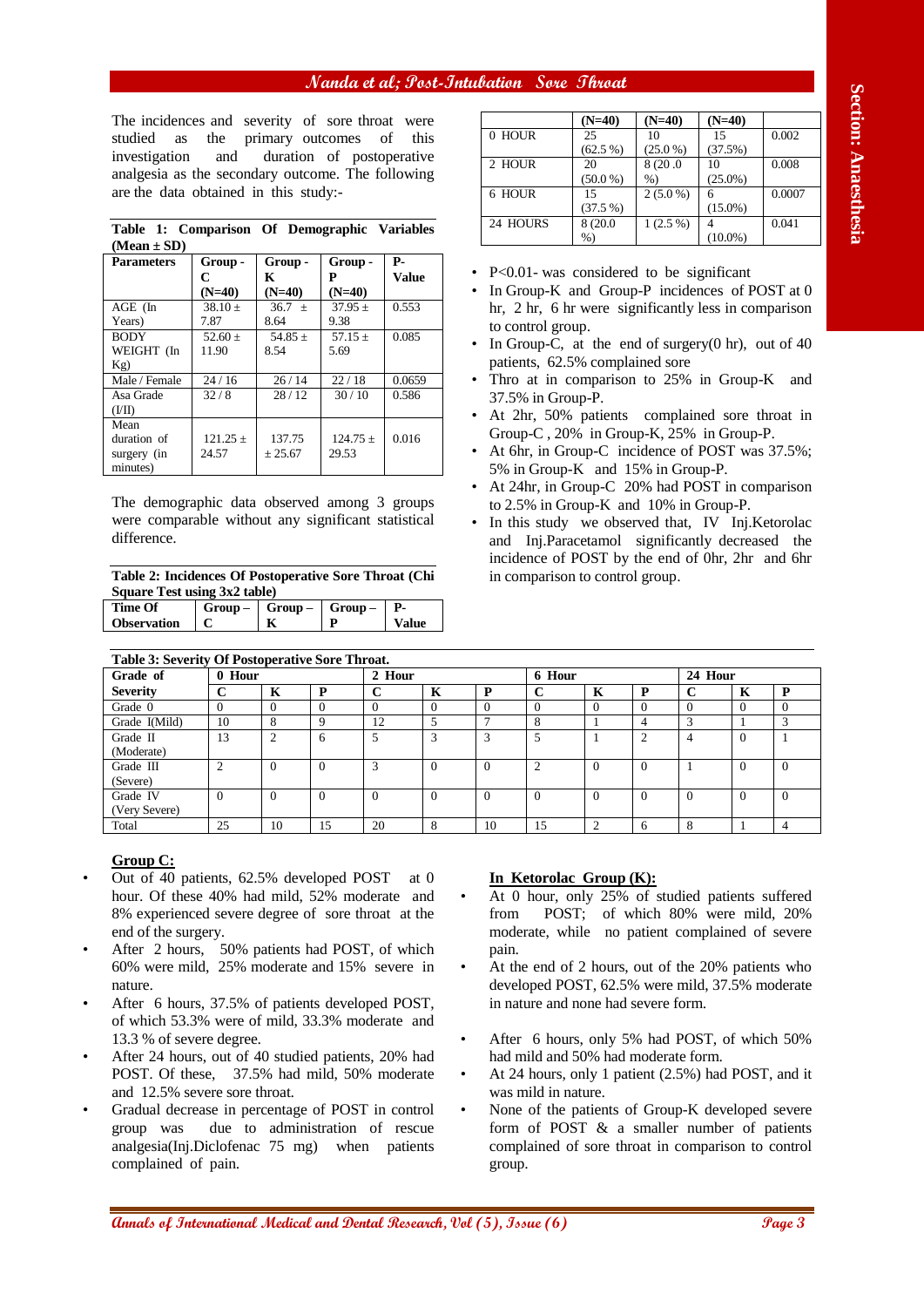## **Nanda et al; Post-Intubation Sore Throat**

|                 |  | Table 1: Comparison Of Demographic Variables |  |
|-----------------|--|----------------------------------------------|--|
| $(Mean \pm SD)$ |  |                                              |  |

| <b>Parameters</b> | Group -      | Group -     | Group -    | Р.     |
|-------------------|--------------|-------------|------------|--------|
|                   | C            | K           | Р          | Value  |
|                   | $(N=40)$     | $(N=40)$    | $(N=40)$   |        |
| $AGE$ (In         | $38.10 +$    | $36.7 +$    | $37.95 +$  | 0.553  |
| Years)            | 7.87         | 8.64        | 9.38       |        |
| <b>BODY</b>       | $52.60 +$    | 54.85 $\pm$ | $57.15 +$  | 0.085  |
| WEIGHT (In        | 11.90        | 8.54        | 5.69       |        |
| Kg)               |              |             |            |        |
| Male / Female     | 24/16        | 26/14       | 22/18      | 0.0659 |
| Asa Grade         | 32/8         | 28/12       | 30/10      | 0.586  |
| (III)             |              |             |            |        |
| Mean              |              |             |            |        |
| duration of       | $121.25 \pm$ | 137.75      | $124.75 +$ | 0.016  |
| surgery (in       | 24.57        | $+25.67$    | 29.53      |        |
| minutes)          |              |             |            |        |

| Time Of            | $Group Group Group-$ |              |
|--------------------|----------------------|--------------|
| <b>Observation</b> |                      | <b>Value</b> |
|                    |                      |              |

|          | $(N=40)$   | $(N=40)$   | $(N=40)$   |        |
|----------|------------|------------|------------|--------|
| $0$ HOUR | 25         | 10         | 15         | 0.002  |
|          | $(62.5\%)$ | $(25.0\%)$ | (37.5%)    |        |
| 2 HOUR   | 20         | 8(20.0     | 10         | 0.008  |
|          | $(50.0\%)$ | %          | $(25.0\%)$ |        |
| 6 HOUR   | 15         | $2(5.0\%)$ | 6          | 0.0007 |
|          | $(37.5\%)$ |            | $(15.0\%)$ |        |
| 24 HOURS | 8 (20.0)   | $1(2.5\%)$ |            | 0.041  |
|          | $%$ )      |            | $(10.0\%)$ |        |

- In Group-K and Group-P incidences of POST at 0 hr, 2 hr, 6 hr were significantly less in comparison to control group.
- In Group-C, at the end of surgery $(0 \text{ hr})$ , out of 40 patients, 62.5% complained sore
- Thro at in comparison to 25% in Group-K and 37.5% in Group-P.
- At 2hr, 50% patients complained sore throat in Group-C , 20% in Group-K, 25% in Group-P.
- At 6hr, in Group-C incidence of POST was  $37.5\%$ ; 5% in Group-K and 15% in Group-P.
- At 24hr, in Group-C 20% had POST in comparison to 2.5% in Group-K and 10% in Group-P.
- In this study we observed that, IV Inj.Ketorolac and Inj.Paracetamol significantly decreased the incidence of POST by the end of 0hr, 2hr and 6hr in comparison to control group.

| The incidences and severity of sore throat were<br>studied<br>as<br>investigation<br>analgesia as the secondary outcome. The following<br>are the data obtained in this study:-                                                                                                                                                                                                                                                                                                                                                                                                                                                                      |                           |                                 |                             |                           |                             |                              |                               |                                 |                                                      |                                                                                                       |                   |
|------------------------------------------------------------------------------------------------------------------------------------------------------------------------------------------------------------------------------------------------------------------------------------------------------------------------------------------------------------------------------------------------------------------------------------------------------------------------------------------------------------------------------------------------------------------------------------------------------------------------------------------------------|---------------------------|---------------------------------|-----------------------------|---------------------------|-----------------------------|------------------------------|-------------------------------|---------------------------------|------------------------------------------------------|-------------------------------------------------------------------------------------------------------|-------------------|
|                                                                                                                                                                                                                                                                                                                                                                                                                                                                                                                                                                                                                                                      |                           |                                 |                             |                           |                             |                              |                               | $(N=40)$                        | $(N=40)$                                             | $(N=40)$                                                                                              |                   |
|                                                                                                                                                                                                                                                                                                                                                                                                                                                                                                                                                                                                                                                      | the                       | primary outcomes                |                             | of                        | this                        | 0 HOUR                       |                               | 25<br>$(62.5\%)$                | 10<br>$(25.0\%)$                                     | 15<br>(37.5%)                                                                                         | 0.002             |
|                                                                                                                                                                                                                                                                                                                                                                                                                                                                                                                                                                                                                                                      | and                       |                                 |                             | duration of postoperative |                             | 2 HOUR                       |                               | 20                              | 8(20.0)                                              | 10                                                                                                    | 0.008             |
|                                                                                                                                                                                                                                                                                                                                                                                                                                                                                                                                                                                                                                                      |                           |                                 |                             |                           |                             | 6 HOUR                       |                               | (50.0 %)<br>15                  | $%$ )<br>$2(5.0\%)$                                  | $(25.0\%)$<br>6                                                                                       | 0.0007            |
|                                                                                                                                                                                                                                                                                                                                                                                                                                                                                                                                                                                                                                                      |                           |                                 |                             |                           |                             |                              |                               | (37.5%)                         |                                                      | $(15.0\%)$                                                                                            |                   |
| Table 1: Comparison Of Demographic Variables                                                                                                                                                                                                                                                                                                                                                                                                                                                                                                                                                                                                         |                           |                                 |                             |                           |                             | 24 HOURS                     |                               | 8 (20.0)<br>$%$ )               | $1(2.5\%)$                                           | $\overline{4}$<br>$(10.0\%)$                                                                          | 0.041             |
| $(Mean \pm SD)$                                                                                                                                                                                                                                                                                                                                                                                                                                                                                                                                                                                                                                      |                           |                                 |                             |                           |                             |                              |                               |                                 |                                                      |                                                                                                       |                   |
| <b>Parameters</b>                                                                                                                                                                                                                                                                                                                                                                                                                                                                                                                                                                                                                                    | Group-<br>C               | Group-<br>K                     | Group-<br>P                 | <b>P-</b><br><b>Value</b> |                             |                              |                               |                                 | • $P<0.01$ - was considered to be significant        |                                                                                                       |                   |
|                                                                                                                                                                                                                                                                                                                                                                                                                                                                                                                                                                                                                                                      | $(N=40)$                  | $(N=40)$                        | $(N=40)$                    |                           |                             |                              |                               |                                 |                                                      | In Group-K and Group-P incidences of POST at 0                                                        |                   |
| AGE (In<br>Years)                                                                                                                                                                                                                                                                                                                                                                                                                                                                                                                                                                                                                                    | $38.10 \pm$<br>7.87       | 36.7 $\pm$<br>8.64              | $37.95 \pm$<br>9.38         | 0.553                     |                             |                              |                               |                                 |                                                      | hr, 2 hr, 6 hr were significantly less in comparison                                                  |                   |
| <b>BODY</b>                                                                                                                                                                                                                                                                                                                                                                                                                                                                                                                                                                                                                                          | 52.60 $\pm$               | 54.85 $\pm$                     | 57.15 $\pm$                 | 0.085                     |                             | $\bullet$                    | to control group.             |                                 |                                                      | In Group-C, at the end of surgery $(0 \text{ hr})$ , out of 40                                        |                   |
| WEIGHT (In                                                                                                                                                                                                                                                                                                                                                                                                                                                                                                                                                                                                                                           | 11.90                     | 8.54                            | 5.69                        |                           |                             |                              |                               | patients, 62.5% complained sore |                                                      |                                                                                                       |                   |
| Kg)<br>Male / Female                                                                                                                                                                                                                                                                                                                                                                                                                                                                                                                                                                                                                                 | 24/16                     | 26/14                           | 22/18                       | 0.0659                    |                             | $\bullet$                    |                               |                                 |                                                      | Thro at in comparison to 25% in Group-K and                                                           |                   |
| Asa Grade                                                                                                                                                                                                                                                                                                                                                                                                                                                                                                                                                                                                                                            | 32/8                      | 28/12                           | 30/10                       | 0.586                     |                             |                              | 37.5% in Group-P.             |                                 |                                                      |                                                                                                       |                   |
| (VII)<br>Mean                                                                                                                                                                                                                                                                                                                                                                                                                                                                                                                                                                                                                                        |                           |                                 |                             |                           |                             | $\bullet$                    |                               |                                 |                                                      | At 2hr, 50% patients complained sore throat in                                                        |                   |
| duration of                                                                                                                                                                                                                                                                                                                                                                                                                                                                                                                                                                                                                                          | $121.25 \pm$              | 137.75                          | $124.75 \pm$                | 0.016                     |                             |                              |                               |                                 |                                                      | Group-C, 20% in Group-K, 25% in Group-P.                                                              |                   |
| surgery (in                                                                                                                                                                                                                                                                                                                                                                                                                                                                                                                                                                                                                                          | 24.57                     | ± 25.67                         | 29.53                       |                           |                             | $\bullet$                    |                               |                                 |                                                      | At 6hr, in Group-C incidence of POST was 37.5%;                                                       |                   |
| minutes)                                                                                                                                                                                                                                                                                                                                                                                                                                                                                                                                                                                                                                             |                           |                                 |                             |                           |                             |                              |                               |                                 | 5% in Group-K and 15% in Group-P.                    |                                                                                                       |                   |
| The demographic data observed among 3 groups                                                                                                                                                                                                                                                                                                                                                                                                                                                                                                                                                                                                         |                           |                                 |                             |                           |                             | ٠                            |                               |                                 | to 2.5% in Group-K and 10% in Group-P.               | At 24hr, in Group-C 20% had POST in comparison                                                        |                   |
| were comparable without any significant statistical                                                                                                                                                                                                                                                                                                                                                                                                                                                                                                                                                                                                  |                           |                                 |                             |                           |                             |                              |                               |                                 |                                                      | In this study we observed that, IV Inj.Ketorolac                                                      |                   |
| difference.                                                                                                                                                                                                                                                                                                                                                                                                                                                                                                                                                                                                                                          |                           |                                 |                             |                           |                             |                              |                               |                                 |                                                      | and Inj.Paracetamol significantly decreased the                                                       |                   |
|                                                                                                                                                                                                                                                                                                                                                                                                                                                                                                                                                                                                                                                      |                           |                                 |                             |                           |                             |                              |                               |                                 |                                                      | incidence of POST by the end of 0hr, 2hr and 6hr                                                      |                   |
| Table 2: Incidences Of Postoperative Sore Throat (Chi                                                                                                                                                                                                                                                                                                                                                                                                                                                                                                                                                                                                |                           |                                 |                             |                           |                             |                              |                               | in comparison to control group. |                                                      |                                                                                                       |                   |
| Square Test using 3x2 table)                                                                                                                                                                                                                                                                                                                                                                                                                                                                                                                                                                                                                         |                           |                                 |                             |                           |                             |                              |                               |                                 |                                                      |                                                                                                       |                   |
| <b>Time Of</b><br><b>Observation</b>                                                                                                                                                                                                                                                                                                                                                                                                                                                                                                                                                                                                                 | $Group-$<br>C             | $Group-$<br>$\mathbf K$         | $Group-$<br>P               | <b>P-</b><br><b>Value</b> |                             |                              |                               |                                 |                                                      |                                                                                                       |                   |
|                                                                                                                                                                                                                                                                                                                                                                                                                                                                                                                                                                                                                                                      |                           |                                 |                             |                           |                             |                              |                               |                                 |                                                      |                                                                                                       |                   |
| Table 3: Severity Of Postoperative Sore Throat.                                                                                                                                                                                                                                                                                                                                                                                                                                                                                                                                                                                                      |                           |                                 |                             |                           |                             |                              |                               |                                 |                                                      |                                                                                                       |                   |
| Grade of                                                                                                                                                                                                                                                                                                                                                                                                                                                                                                                                                                                                                                             | 0 Hour                    |                                 |                             | 2 Hour                    |                             |                              | 6 Hour                        |                                 |                                                      | 24 Hour                                                                                               |                   |
| <b>Severity</b><br>Grade 0                                                                                                                                                                                                                                                                                                                                                                                                                                                                                                                                                                                                                           | $\bf C$<br>$\overline{0}$ | $\mathbf K$<br>$\overline{0}$   | ${\bf P}$<br>$\overline{0}$ | $\bf C$<br>$\overline{0}$ | $\mathbf K$<br>$\mathbf{0}$ | $\mathbf{P}$<br>$\mathbf{0}$ | $\mathbf C$<br>$\overline{0}$ | $\mathbf K$<br>$\mathbf{0}$     | P<br>$\mathbf C$<br>$\overline{0}$<br>$\overline{0}$ | $\mathbf K$<br>$\mathbf{0}$                                                                           | P<br>$\mathbf{0}$ |
| Grade I(Mild)                                                                                                                                                                                                                                                                                                                                                                                                                                                                                                                                                                                                                                        | 10                        | $\,8\,$                         | 9                           | 12                        | 5                           | $\tau$                       | $\,$ 8 $\,$                   | $\mathbf{1}$                    | 3<br>$\overline{4}$                                  | $\mathbf{1}$                                                                                          | 3                 |
| Grade II                                                                                                                                                                                                                                                                                                                                                                                                                                                                                                                                                                                                                                             | 13                        | $\overline{c}$                  | 6                           | 5                         | 3                           | $\overline{3}$               | 5                             | $\mathbf{1}$                    | $\overline{2}$<br>$\overline{4}$                     | $\overline{0}$                                                                                        | $\mathbf{1}$      |
|                                                                                                                                                                                                                                                                                                                                                                                                                                                                                                                                                                                                                                                      | $\overline{2}$            | $\overline{0}$                  | $\mathbf{0}$                | 3                         | $\mathbf{0}$                | $\mathbf{0}$                 | $\mathbf{2}$                  | $\mathbf{0}$                    | $\overline{0}$<br>$\mathbf{1}$                       | $\overline{0}$                                                                                        | $\mathbf{0}$      |
|                                                                                                                                                                                                                                                                                                                                                                                                                                                                                                                                                                                                                                                      |                           |                                 |                             |                           |                             |                              |                               |                                 |                                                      |                                                                                                       |                   |
| (Moderate)<br>Grade III                                                                                                                                                                                                                                                                                                                                                                                                                                                                                                                                                                                                                              |                           |                                 |                             | $\mathbf{0}$              | $\overline{0}$              | $\mathbf{0}$                 | $\overline{0}$                | $\overline{0}$                  | $\overline{0}$<br>$\mathbf{0}$                       | $\mathbf{0}$                                                                                          | $\mathbf{0}$      |
|                                                                                                                                                                                                                                                                                                                                                                                                                                                                                                                                                                                                                                                      | $\mathbf{0}$              | $\overline{0}$                  | $\overline{0}$              |                           |                             |                              |                               |                                 |                                                      |                                                                                                       |                   |
|                                                                                                                                                                                                                                                                                                                                                                                                                                                                                                                                                                                                                                                      | 25                        | 10                              | 15                          | 20                        | $\,8\,$                     | 10                           | 15                            | $\sqrt{2}$                      | $\,8\,$<br>6                                         | $\mathbf{1}$                                                                                          | $\overline{4}$    |
|                                                                                                                                                                                                                                                                                                                                                                                                                                                                                                                                                                                                                                                      |                           |                                 |                             |                           |                             |                              |                               |                                 |                                                      |                                                                                                       |                   |
|                                                                                                                                                                                                                                                                                                                                                                                                                                                                                                                                                                                                                                                      |                           |                                 |                             |                           |                             |                              |                               |                                 |                                                      |                                                                                                       |                   |
|                                                                                                                                                                                                                                                                                                                                                                                                                                                                                                                                                                                                                                                      |                           |                                 |                             |                           | at 0                        |                              |                               | In Ketorolac Group (K):         |                                                      |                                                                                                       |                   |
|                                                                                                                                                                                                                                                                                                                                                                                                                                                                                                                                                                                                                                                      |                           |                                 |                             |                           | and<br>٠                    |                              |                               |                                 |                                                      | At 0 hour, only 25% of studied patients suffered                                                      |                   |
|                                                                                                                                                                                                                                                                                                                                                                                                                                                                                                                                                                                                                                                      |                           |                                 |                             |                           |                             | from                         |                               |                                 |                                                      | POST; of which 80% were mild, 20%                                                                     |                   |
|                                                                                                                                                                                                                                                                                                                                                                                                                                                                                                                                                                                                                                                      |                           |                                 |                             |                           |                             |                              |                               |                                 |                                                      | moderate, while no patient complained of severe                                                       |                   |
|                                                                                                                                                                                                                                                                                                                                                                                                                                                                                                                                                                                                                                                      |                           |                                 |                             |                           | $\bullet$                   | pain.                        |                               |                                 |                                                      |                                                                                                       |                   |
|                                                                                                                                                                                                                                                                                                                                                                                                                                                                                                                                                                                                                                                      |                           |                                 |                             |                           |                             |                              |                               |                                 |                                                      | At the end of 2 hours, out of the 20% patients who<br>developed POST, 62.5% were mild, 37.5% moderate |                   |
|                                                                                                                                                                                                                                                                                                                                                                                                                                                                                                                                                                                                                                                      |                           |                                 |                             |                           |                             |                              |                               |                                 | in nature and none had severe form.                  |                                                                                                       |                   |
|                                                                                                                                                                                                                                                                                                                                                                                                                                                                                                                                                                                                                                                      |                           |                                 |                             |                           |                             |                              |                               |                                 |                                                      |                                                                                                       |                   |
|                                                                                                                                                                                                                                                                                                                                                                                                                                                                                                                                                                                                                                                      |                           |                                 |                             |                           | $\bullet$                   |                              |                               |                                 |                                                      | After 6 hours, only 5% had POST, of which 50%                                                         |                   |
|                                                                                                                                                                                                                                                                                                                                                                                                                                                                                                                                                                                                                                                      |                           |                                 |                             |                           |                             |                              |                               |                                 | had mild and 50% had moderate form.                  |                                                                                                       |                   |
|                                                                                                                                                                                                                                                                                                                                                                                                                                                                                                                                                                                                                                                      |                           | 37.5% had mild, 50% moderate    |                             |                           | $\bullet$                   |                              |                               |                                 |                                                      | At 24 hours, only 1 patient (2.5%) had POST, and it                                                   |                   |
|                                                                                                                                                                                                                                                                                                                                                                                                                                                                                                                                                                                                                                                      |                           |                                 |                             |                           |                             |                              | was mild in nature.           |                                 |                                                      |                                                                                                       |                   |
| (Very Severe)                                                                                                                                                                                                                                                                                                                                                                                                                                                                                                                                                                                                                                        |                           |                                 |                             |                           | ٠                           |                              |                               |                                 |                                                      | None of the patients of Group-K developed severe                                                      |                   |
| (Severe)<br>Grade IV<br>Total<br><b>Group C:</b><br>Out of 40 patients, 62.5% developed POST<br>hour. Of these 40% had mild, 52% moderate<br>8% experienced severe degree of sore throat at the<br>end of the surgery.<br>After 2 hours, 50% patients had POST, of which<br>60% were mild, 25% moderate and 15% severe in<br>nature.<br>After 6 hours, 37.5% of patients developed POST,<br>of which 53.3% were of mild, 33.3% moderate and<br>13.3 % of severe degree.<br>After 24 hours, out of 40 studied patients, 20% had<br>POST. Of these,<br>and 12.5% severe sore throat.<br>Gradual decrease in percentage of POST in control<br>group was |                           | due to administration of rescue |                             |                           |                             |                              |                               |                                 |                                                      | form of POST & a smaller number of patients                                                           |                   |
| analgesia(Inj.Diclofenac 75 mg)                                                                                                                                                                                                                                                                                                                                                                                                                                                                                                                                                                                                                      |                           |                                 |                             | when patients             |                             |                              |                               |                                 |                                                      | complained of sore throat in comparison to control                                                    |                   |
| complained of pain.                                                                                                                                                                                                                                                                                                                                                                                                                                                                                                                                                                                                                                  |                           |                                 |                             |                           |                             | group.                       |                               |                                 |                                                      |                                                                                                       |                   |
|                                                                                                                                                                                                                                                                                                                                                                                                                                                                                                                                                                                                                                                      |                           |                                 |                             |                           |                             |                              |                               |                                 |                                                      |                                                                                                       |                   |

#### **Group C:**

- Out of 40 patients,  $62.5\%$  developed POST at 0 hour. Of these 40% had mild, 52% moderate and 8% experienced severe degree of sore throat at the end of the surgery.
- After 2 hours, 50% patients had POST, of which 60% were mild, 25% moderate and 15% severe in nature.
- After 6 hours, 37.5% of patients developed POST, of which 53.3% were of mild, 33.3% moderate and 13.3 % of severe degree.
- After 24 hours, out of 40 studied patients, 20% had POST. Of these, 37.5% had mild, 50% moderate and 12.5% severe sore throat.
- Gradual decrease in percentage of POST in control group was due to administration of rescue analgesia(Inj.Diclofenac 75 mg) when patients complained of pain.

#### **In Ketorolac Group (K):**

- At 0 hour, only 25% of studied patients suffered from POST; of which 80% were mild, 20% moderate, while no patient complained of severe pain.
- At the end of 2 hours, out of the 20% patients who developed POST, 62.5% were mild, 37.5% moderate in nature and none had severe form.
- After 6 hours, only 5% had POST, of which 50% had mild and 50% had moderate form.
- At 24 hours, only 1 patient (2.5%) had POST, and it was mild in nature.
- None of the patients of Group-K developed severe form of POST & a smaller number of patients complained of sore throat in comparison to control group.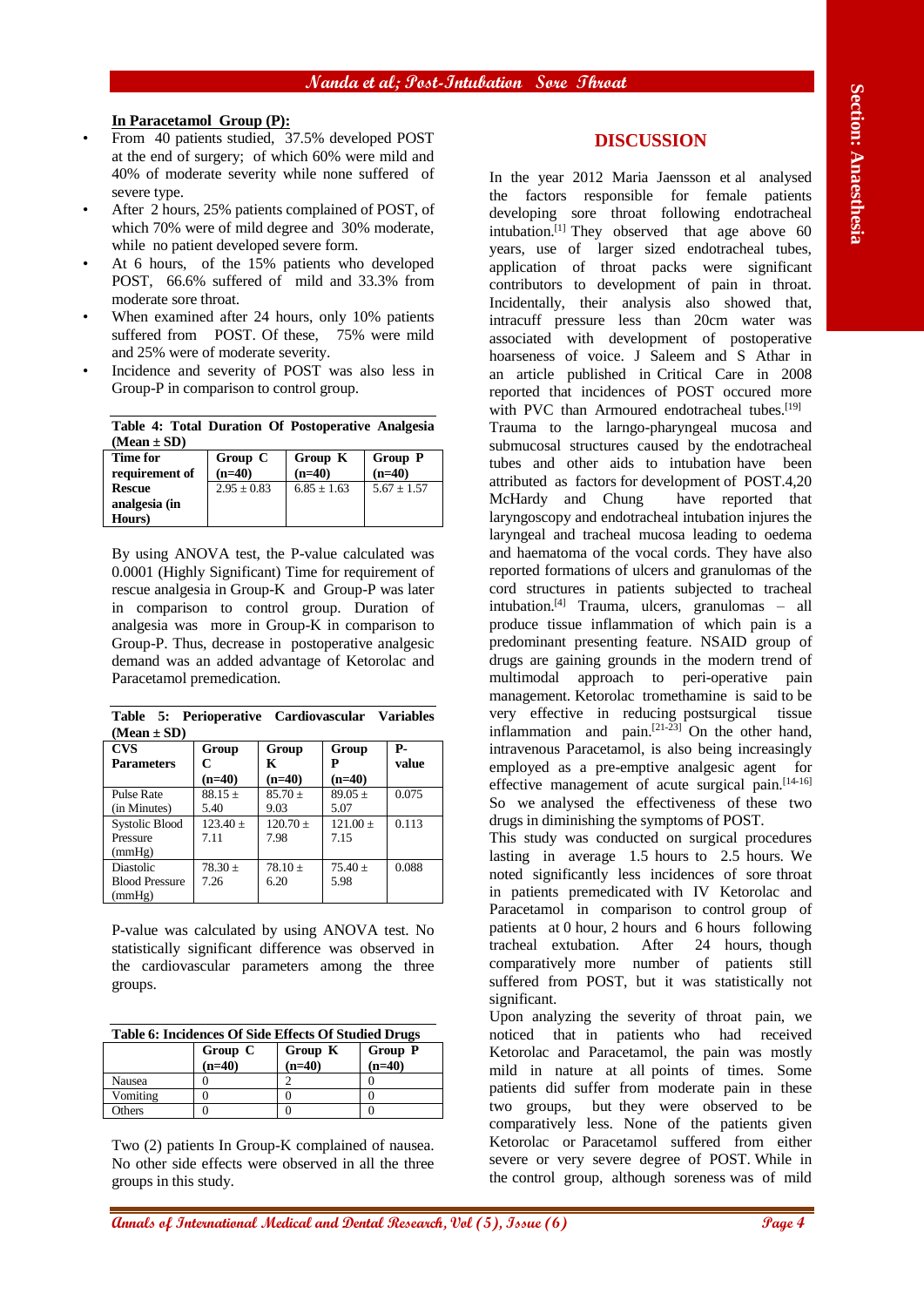## **In Paracetamol Group (P):**

- From 40 patients studied, 37.5% developed POST at the end of surgery; of which 60% were mild and 40% of moderate severity while none suffered of severe type.
- After 2 hours, 25% patients complained of POST, of which 70% were of mild degree and 30% moderate, while no patient developed severe form.
- At 6 hours, of the 15% patients who developed POST, 66.6% suffered of mild and 33.3% from moderate sore throat.
- When examined after 24 hours, only 10% patients suffered from POST. Of these, 75% were mild and 25% were of moderate severity.
- Incidence and severity of POST was also less in Group-P in comparison to control group.

|                 |  |  | Table 4: Total Duration Of Postoperative Analgesia |  |
|-----------------|--|--|----------------------------------------------------|--|
| $(Mean \pm SD)$ |  |  |                                                    |  |

| $\cdots$       |                 |                 |                 |
|----------------|-----------------|-----------------|-----------------|
| Time for       | Group C         | Group K         | <b>Group P</b>  |
| requirement of | $(n=40)$        | $(n=40)$        | $(n=40)$        |
| <b>Rescue</b>  | $2.95 \pm 0.83$ | $6.85 \pm 1.63$ | $5.67 \pm 1.57$ |
| analgesia (in  |                 |                 |                 |
| Hours)         |                 |                 |                 |

By using ANOVA test, the P-value calculated was 0.0001 (Highly Significant) Time for requirement of rescue analgesia in Group-K and Group-P was later in comparison to control group. Duration of analgesia was more in Group-K in comparison to Group-P. Thus, decrease in postoperative analgesic demand was an added advantage of Ketorolac and Paracetamol premedication.

| $(Mean \pm SD)$       |             |             |             |       |
|-----------------------|-------------|-------------|-------------|-------|
| <b>CVS</b>            | Group       | Group       | Group       | Р-    |
| <b>Parameters</b>     | C           | K           | Р           | value |
|                       | $(n=40)$    | $(n=40)$    | $(n=40)$    |       |
| Pulse Rate            | $88.15 \pm$ | $85.70 \pm$ | $89.05 \pm$ | 0.075 |
| (in Minutes)          | 5.40        | 9.03        | 5.07        |       |
| <b>Systolic Blood</b> | $123.40 +$  | $120.70 +$  | $121.00 +$  | 0.113 |
| Pressure              | 7.11        | 7.98        | 7.15        |       |
| (mmHg)                |             |             |             |       |
| Diastolic             | $78.30 \pm$ | $78.10 +$   | $75.40 \pm$ | 0.088 |
| <b>Blood Pressure</b> | 7.26        | 6.20        | 5.98        |       |
| (mmHg)                |             |             |             |       |
|                       |             |             |             |       |

**Table 5: Perioperative Cardiovascular Variables** 

P-value was calculated by using ANOVA test. No statistically significant difference was observed in the cardiovascular parameters among the three groups.

| <b>Table 6: Incidences Of Side Effects Of Studied Drugs</b> |          |                |          |  |  |
|-------------------------------------------------------------|----------|----------------|----------|--|--|
|                                                             | Group C  | <b>Group P</b> |          |  |  |
|                                                             | $(n=40)$ | $(n=40)$       | $(n=40)$ |  |  |
| Nausea                                                      |          |                |          |  |  |
| Vomiting                                                    |          |                |          |  |  |

Others 0 0 0

Two (2) patients In Group-K complained of nausea. No other side effects were observed in all the three groups in this study.

## **DISCUSSION**

**An Excelsion of Excelsion Conservation** Conservation Conservation in the section of the section in the section of the section of the section of the section of the section of the section of the section of the section of t In the year 2012 Maria Jaensson et al analysed the factors responsible for female patients developing sore throat following endotracheal intubation.[1] They observed that age above 60 years, use of larger sized endotracheal tubes, application of throat packs were significant contributors to development of pain in throat. Incidentally, their analysis also showed that, intracuff pressure less than 20cm water was associated with development of postoperative hoarseness of voice. J Saleem and S Athar in an article published in Critical Care in 2008 reported that incidences of POST occured more with PVC than Armoured endotracheal tubes.<sup>[19]</sup> Trauma to the larngo-pharyngeal mucosa and submucosal structures caused by the endotracheal tubes and other aids to intubation have been attributed as factors for development of POST.4,20 McHardy and Chung have reported that laryngoscopy and endotracheal intubation injures the laryngeal and tracheal mucosa leading to oedema and haematoma of the vocal cords. They have also reported formations of ulcers and granulomas of the cord structures in patients subjected to tracheal intubation.[4] Trauma, ulcers, granulomas – all produce tissue inflammation of which pain is a predominant presenting feature. NSAID group of drugs are gaining grounds in the modern trend of multimodal approach to peri-operative pain management. Ketorolac tromethamine is said to be very effective in reducing postsurgical tissue inflammation and pain. $[21-23]$  On the other hand, intravenous Paracetamol, is also being increasingly employed as a pre-emptive analgesic agent for effective management of acute surgical pain.<sup>[14-16]</sup> So we analysed the effectiveness of these two drugs in diminishing the symptoms of POST.

This study was conducted on surgical procedures lasting in average 1.5 hours to 2.5 hours. We noted significantly less incidences of sore throat in patients premedicated with IV Ketorolac and Paracetamol in comparison to control group of patients at 0 hour, 2 hours and 6 hours following tracheal extubation. After 24 hours, though comparatively more number of patients still suffered from POST, but it was statistically not significant.

Upon analyzing the severity of throat pain, we noticed that in patients who had received Ketorolac and Paracetamol, the pain was mostly mild in nature at all points of times. Some patients did suffer from moderate pain in these two groups, but they were observed to be comparatively less. None of the patients given Ketorolac or Paracetamol suffered from either severe or very severe degree of POST. While in the control group, although soreness was of mild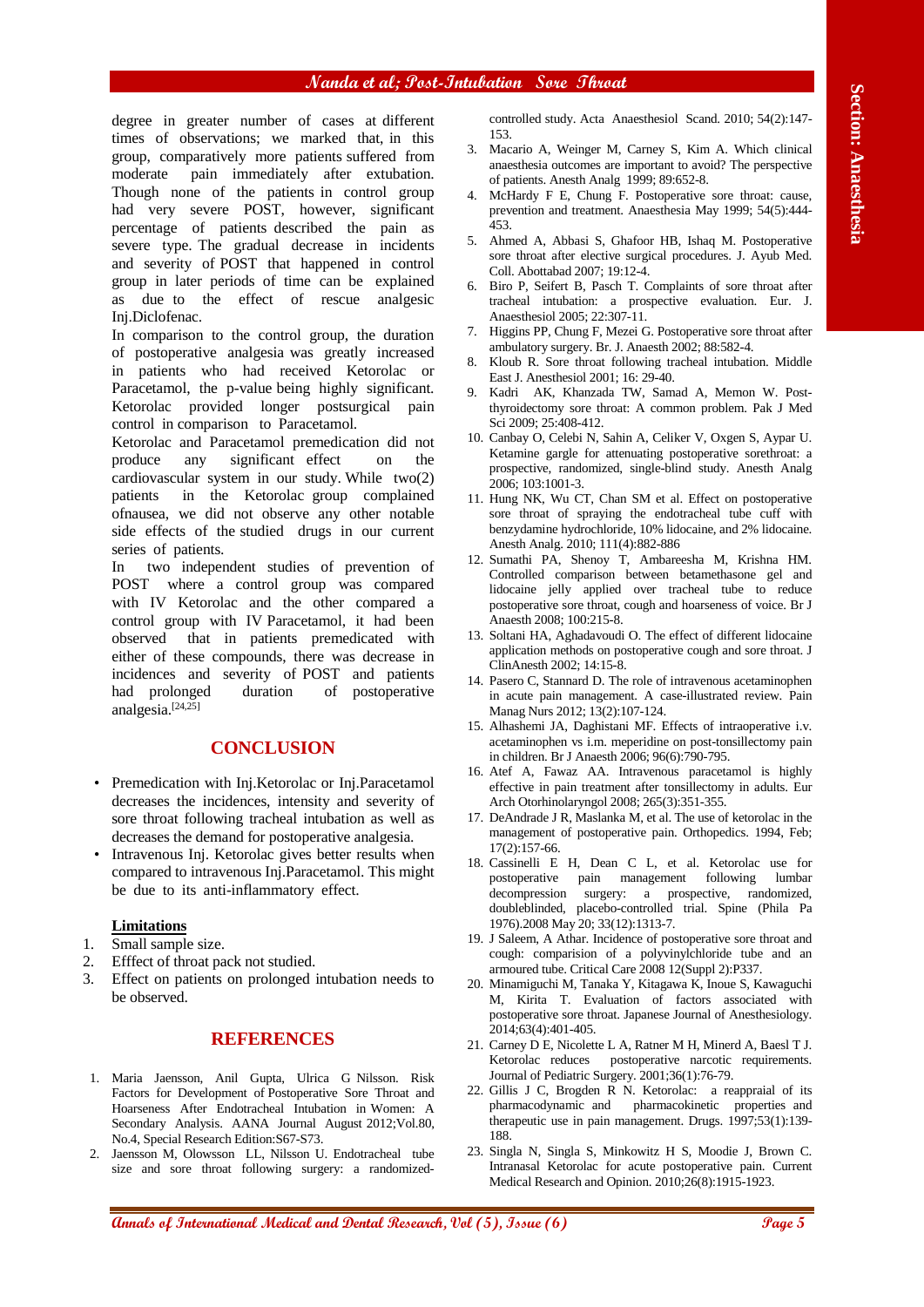#### **Nanda et al; Post-Intubation Sore Throat**

**Angle is paire and the section and the section and the section and the section and the section and the section and the section and the section and the section and the section and the section and the section and the secti** degree in greater number of cases at different times of observations; we marked that, in this group, comparatively more patients suffered from moderate pain immediately after extubation. Though none of the patients in control group had very severe POST, however, significant percentage of patients described the pain as severe type. The gradual decrease in incidents and severity of POST that happened in control group in later periods of time can be explained as due to the effect of rescue analgesic Inj.Diclofenac.

In comparison to the control group, the duration of postoperative analgesia was greatly increased in patients who had received Ketorolac or Paracetamol, the p-value being highly significant. Ketorolac provided longer postsurgical pain control in comparison to Paracetamol.

Ketorolac and Paracetamol premedication did not produce any significant effect on the cardiovascular system in our study. While two(2) patients in the Ketorolac group complained ofnausea, we did not observe any other notable side effects of the studied drugs in our current series of patients.

In two independent studies of prevention of POST where a control group was compared with IV Ketorolac and the other compared a control group with IV Paracetamol, it had been observed that in patients premedicated with either of these compounds, there was decrease in incidences and severity of POST and patients had prolonged duration of postoperative analgesia.[24,25]

#### **CONCLUSION**

- Premedication with Inj.Ketorolac or Inj.Paracetamol decreases the incidences, intensity and severity of sore throat following tracheal intubation as well as decreases the demand for postoperative analgesia.
- Intravenous Inj. Ketorolac gives better results when compared to intravenous Inj.Paracetamol. This might be due to its anti-inflammatory effect.

#### **Limitations**

- 1. Small sample size.
- 2. Efffect of throat pack not studied.
- 3. Effect on patients on prolonged intubation needs to be observed.

#### **REFERENCES**

- 1. Maria Jaensson, Anil Gupta, Ulrica G Nilsson. Risk Factors for Development of Postoperative Sore Throat and Hoarseness After Endotracheal Intubation in Women: A Secondary Analysis. AANA Journal August 2012;Vol.80, No.4, Special Research Edition:S67-S73.
- 2. Jaensson M, Olowsson LL, Nilsson U. Endotracheal tube size and sore throat following surgery: a randomized-

controlled study. Acta Anaesthesiol Scand. 2010; 54(2):147- 153.

- 3. Macario A, Weinger M, Carney S, Kim A. Which clinical anaesthesia outcomes are important to avoid? The perspective of patients. Anesth Analg 1999; 89:652-8.
- 4. McHardy F E, Chung F. Postoperative sore throat: cause, prevention and treatment. Anaesthesia May 1999; 54(5):444- 453.
- 5. Ahmed A, Abbasi S, Ghafoor HB, Ishaq M. Postoperative sore throat after elective surgical procedures. J. Ayub Med. Coll. Abottabad 2007; 19:12-4.
- 6. Biro P, Seifert B, Pasch T. Complaints of sore throat after tracheal intubation: a prospective evaluation. Eur. J. Anaesthesiol 2005; 22:307-11.
- 7. Higgins PP, Chung F, Mezei G. Postoperative sore throat after ambulatory surgery. Br. J. Anaesth 2002; 88:582-4.
- 8. Kloub R. Sore throat following tracheal intubation. Middle East J. Anesthesiol 2001; 16: 29-40.
- 9. Kadri AK, Khanzada TW, Samad A, Memon W. Postthyroidectomy sore throat: A common problem. Pak J Med Sci 2009; 25:408-412.
- 10. Canbay O, Celebi N, Sahin A, Celiker V, Oxgen S, Aypar U. Ketamine gargle for attenuating postoperative sorethroat: a prospective, randomized, single-blind study. Anesth Analg 2006; 103:1001-3.
- 11. Hung NK, Wu CT, Chan SM et al. Effect on postoperative sore throat of spraying the endotracheal tube cuff with benzydamine hydrochloride, 10% lidocaine, and 2% lidocaine. Anesth Analg. 2010; 111(4):882-886
- 12. Sumathi PA, Shenoy T, Ambareesha M, Krishna HM. Controlled comparison between betamethasone gel and lidocaine jelly applied over tracheal tube to reduce postoperative sore throat, cough and hoarseness of voice. Br J Anaesth 2008; 100:215-8.
- 13. Soltani HA, Aghadavoudi O. The effect of different lidocaine application methods on postoperative cough and sore throat. J ClinAnesth 2002; 14:15-8.
- 14. Pasero C, Stannard D. The role of intravenous acetaminophen in acute pain management. A case-illustrated review. Pain Manag Nurs 2012; 13(2):107-124.
- 15. Alhashemi JA, Daghistani MF. Effects of intraoperative i.v. acetaminophen vs i.m. meperidine on post-tonsillectomy pain in children. Br J Anaesth 2006; 96(6):790-795.
- 16. Atef A, Fawaz AA. Intravenous paracetamol is highly effective in pain treatment after tonsillectomy in adults. Eur Arch Otorhinolaryngol 2008; 265(3):351-355.
- 17. DeAndrade J R, Maslanka M, et al. The use of ketorolac in the management of postoperative pain. Orthopedics. 1994, Feb; 17(2):157-66.
- 18. Cassinelli E H, Dean C L, et al. Ketorolac use for postoperative pain management following lumbar decompression surgery: a prospective, randomized, doubleblinded, placebo-controlled trial. Spine (Phila Pa 1976).2008 May 20; 33(12):1313-7.
- 19. J Saleem, A Athar. Incidence of postoperative sore throat and cough: comparision of a polyvinylchloride tube and an armoured tube. Critical Care 2008 12(Suppl 2):P337.
- 20. Minamiguchi M, Tanaka Y, Kitagawa K, Inoue S, Kawaguchi M, Kirita T. Evaluation of factors associated with postoperative sore throat. Japanese Journal of Anesthesiology. 2014;63(4):401-405.
- 21. Carney D E, Nicolette L A, Ratner M H, Minerd A, Baesl T J. Ketorolac reduces postoperative narcotic requirements. Journal of Pediatric Surgery. 2001;36(1):76-79.
- 22. Gillis J C, Brogden R N. Ketorolac: a reappraial of its pharmacodynamic and pharmacokinetic properties and therapeutic use in pain management. Drugs. 1997;53(1):139- 188.
- 23. Singla N, Singla S, Minkowitz H S, Moodie J, Brown C. Intranasal Ketorolac for acute postoperative pain. Current Medical Research and Opinion. 2010;26(8):1915-1923.